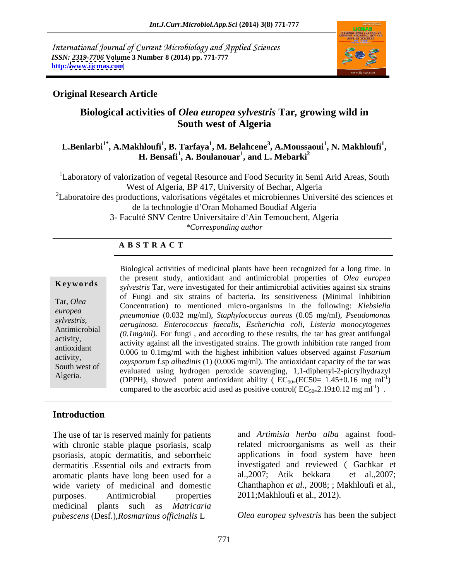International Journal of Current Microbiology and Applied Sciences *ISSN: 2319-7706* **Volume 3 Number 8 (2014) pp. 771-777 http:/[/www.ijcmas.com](http://www.ijcmas.com)**



### **Original Research Article**

### **Biological activities of** *Olea europea sylvestris* **Tar***,* **growing wild in South west of Algeria**

### **L.Benlarbi1\* , A.Makhloufi<sup>1</sup> , B. Tarfaya<sup>1</sup> , M. Belahcene<sup>3</sup> , A.Moussaoui<sup>1</sup> , N. Makhloufi<sup>1</sup> , H. Bensafi<sup>1</sup> , A. Boulanouar<sup>1</sup> , and L. Mebarki<sup>2</sup>**

<sup>1</sup>Laboratory of valorization of vegetal Resource and Food Security in Semi Arid Areas, South West of Algeria, BP 417, University of Bechar, Algeria

<sup>2</sup>Laboratoire des productions, valorisations végétales et microbiennes Université des sciences et de la technologie d'Oran Mohamed Boudiaf Algeria

3- Faculté SNV Centre Universitaire d'Ain Temouchent, Algeria

*\*Corresponding author* 

### **A B S T R A C T**

**Keywords** *sylvestris* Tar, *were* investigated for their antimicrobial activities against six strains Tar, *Olea*  Concentration) to mentioned micro-organisms in the following: *Klebsiella europea pneumoniae* (0.032 mg/ml), *Staphylococcus aureus* (0.05 mg/ml), *Pseudomonas sylvestris*, *aeruginosa. Enterococcus faecalis, Escherichia coli, Listeria monocytogenes*<br>Antimicrobial (0 lma/ml) For funcional according to these results the terms are entitinged activity, activity against all the investigated strains. The growth inhibition rate ranged from  $\alpha$ antioxidant antioxidant call the method of the highest inhibition values observed against *Fusarium* 0.006 to 0.1mg/ml with the highest inhibition values observed against *Fusarium*  $\frac{\text{activity}}{\text{oxy}}$ ,  $\frac{\text{oxy}}{\text{oxy}}$ ,  $\frac{\text{bxy}}{\text{axy}}$  and  $\frac{\text{bxy}}{\text{axy}}$  (1) (0.006 mg/ml). The antioxidant capacity of the tar was  $\frac{\text{cxy}}{\text{axy}}$ Algeria. (DPPH), showed potent antioxidant ability ( $EC_{50}$ =( $EC50$ = 1.45±0.16 mg ml<sup>-1</sup>) Biological activities of medicinal plants have been recognized for a long time. In the present study, antioxidant and antimicrobial properties of *Olea europea* of Fungi and six strains of bacteria. Its sensitiveness (Minimal Inhibition *(0.1mg/ml).* For fungi , and according to these results, the tar has great antifungal evaluated using hydrogen peroxide scavenging, 1,1-diphenyl-2-picrylhydrazyl  $)$ compared to the ascorbic acid used as positive control(  $EC_{50=}2.19\pm0.12$  mg ml<sup>-1</sup>).

### **Introduction**

The use of tar is reserved mainly for patients with chronic stable plaque psoriasis, scalp psoriasis, atopic dermatitis, and seborrheic aromatic plants have long been used for a al., 2007; Atik bekkara et al., 2007; purposes. Antimicrobial properties 2011;Makhloufi et al., 2012). medicinal plants such as *Matricaria pubescens* (Desf.),*Rosmarinus officinalis* L

dermatitis .Essential oils and extracts from wide variety of medicinal and domestic Chanthaphon *et al.*, 2008; ; Makhloufi et al., and *Artimisia herba alba* against foodrelated microorganisms as well as their applications in food system have been investigated and reviewed ( Gachkar et al.,2007; Atik bekkara

*Olea europea sylvestris* has been the subject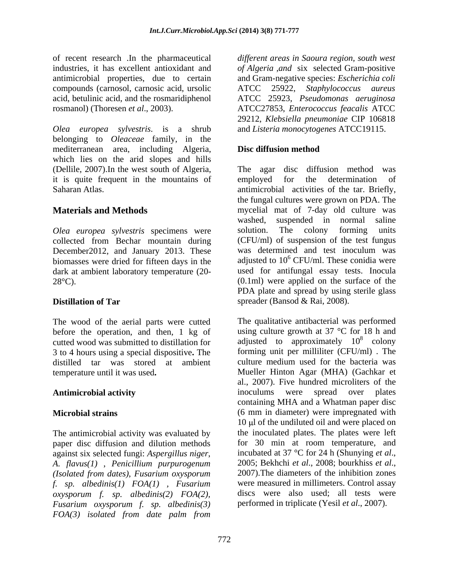of recent research .In the pharmaceutical *dif erent areas in Saoura region, south west* industries, it has excellent antioxidant and antimicrobial properties, due to certain and Gram-negative species: *Escherichia coli*  compounds (carnosol, carnosic acid, ursolic ATCC 25922, Staphylococcus aureus acid, betulinic acid, and the rosmaridiphenol ATCC 25923, *Pseudomonas aeruginosa* rosmanol) (Thoresen *et al*., 2003). ATCC27853, *Enterococcus feacalis* ATCC

*Olea europea sylvestris*. is a shrub belonging to *Oleaceae* family, in the mediterranean area, including Algeria, which lies on the arid slopes and hills (Dellile, 2007).In the west south of Algeria, it is quite frequent in the mountains of employed for the determination of

collected from Bechar mountain during biomasses were dried for fifteen days in the dark at ambient laboratory temperature (20-

3 to 4 hours using a special dispositive**.** The distilled tar was stored at ambient

The antimicrobial activity was evaluated by paper disc diffusion and dilution methods for 30 min at room temperature, and against six selected fungi: *Aspergillus niger*. incubated at  $37^{\circ}$ C for 24 h (Shunying *et al.*, against six selected fungi: *Aspergillus niger*, incubated at 37 °C for 24 h (Shunying *et al.*, *A. flavus(1)* Penicillium purpurogenum 2005; Bekhchi *et al.*, 2008; bourkhiss *et al.*, *A. flavus(1)* , *Penicillium purpurogenum (Isolated from dates)*, *Fusarium oxysporum f. sp. albedinis(1) FOA(1) , Fusarium oxysporum f. sp. albedinis(2) FOA(2), Fusarium oxysporum f. sp. albedinis(3) FOA(3) isolated from date palm from*

*of Algeria ,and* six selected Gram-positive ATCC 25922, *Staphylococcus aureus* 29212, *Klebsiella pneumoniae* CIP 106818 and *Listeria monocytogenes* ATCC19115.

### **Disc diffusion method**

Saharan Atlas. antimicrobial activities of the tar. Briefly, **Materials and Methods** mycelial mat of 7-day old culture was *Olea europea sylvestris* specimens were December2012, and January 2013. These was determined and test inoculum was  $28^{\circ}$ C). (0.1ml) were applied on the surface of the **Distillation of Tar** spreader (Bansod & Rai, 2008). The agar disc diffusion method was employed for the determination of the fungal cultures were grown on PDA. The washed, suspended in normal saline solution. The colony forming units (CFU/ml) of suspension of the test fungus adjusted to  $10^6$  CFU/ml. These conidia were used for antifungal essay tests. Inocula PDA plate and spread by using sterile glass spreader (Bansod & Rai, 2008).<br>The qualitative antibacterial was performed

The wood of the aerial parts were cutted The qualitative antibacterial was performed before the operation, and then, 1 kg of using culture growth at  $37 \text{ °C}$  for 18 h and cutted wood was submitted to distillation for  $\qquad$  adjusted to approximately  $10^8$  colony temperature until it was used**.** Mueller Hinton Agar (MHA) (Gachkar et **Antimicrobial activity Microbial strains** (6 mm in diameter) were impregnated with  $\frac{8}{9}$  colony colony forming unit per milliliter (CFU/ml) . The culture medium used for the bacteria was al., 2007). Five hundred microliters of the inoculums were spread over plates containing MHA and a Whatman paper disc 10 µ of the undiluted oil and were placed on the inoculated plates. The plates were left for 30 min at room temperature, and incubated at <sup>37</sup> °C for <sup>24</sup> <sup>h</sup> (Shunying *et al*., 2005; Bekhchi *et al*., 2008; bourkhiss *et al*., 2007).The diameters of the inhibition zones were measured in millimeters. Control assay discs were also used; all tests were performed in triplicate (Yesil *et al*., 2007).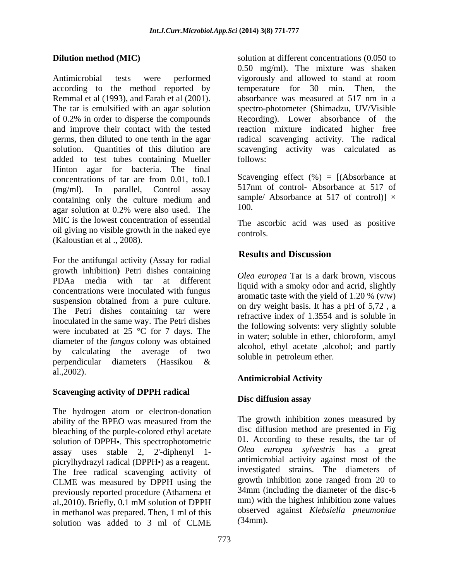according to the method reported by temperature for 30 min. Then, the Remmal et al (1993), and Farah et al (2001). absorbance was measured at 517 nm in a added to test tubes containing Mueller Hinton agar for bacteria. The final concentrations of tar are from 0.01, to0.1  $(mg/ml)$ . In parallel, Control assay  $51/nm$  of control-Absorbance at  $51/$  of containing only the culture medium and<br>
agent solution at  $0.20$  were also used. The  $100$ . agar solution at 0.2% were also used. The MIC is the lowest concentration of essential oil giving no visible growth in the naked eye  $\frac{1}{\text{controls}}$ . (Kaloustian et al ., 2008).

For the antifungal activity (Assay for radial **Results and Discussion** growth inhibition**)** Petri dishes containing PDAa media with tar at different concentrations were inoculated with fungus suspension obtained from a pure culture. The Petri dishes containing tar were inoculated in the same way. The Petri dishes were incubated at 25 °C for 7 days. The diameter of the *fungus* colony was obtained by calculating the average of two perpendicular diameters (Hassikou & al.,2002).

# **Scavenging activity of DPPH radical**

The hydrogen atom or electron-donation ability of the BPEO was measured from the bleaching of the purple-colored ethyl acetate solution of DPPH•. This spectrophotometric assay uses stable 2, 2'-diphenyl 1 picrylhydrazyl radical (DPPH $\cdot$ ) as a reagent. The free radical scavenging activity of CLME was measured by DPPH using the previously reported procedure (Athamena et al.,2010). Briefly, 0.1 mM solution of DPPH in methanol was prepared. Then, 1 ml of this solution was added to 3 ml of CLME

**Dilution method (MIC)** solution at different concentrations (0.050 to Antimicrobial tests were performed vigorously and allowed to stand at room The tar is emulsified with an agar solution spectro-photometer (Shimadzu, UV/Visible of 0.2% in order to disperse the compounds Recording). Lower absorbance of the and improve their contact with the tested reaction mixture indicated higher free germs, then diluted to one tenth in the agar radical scavenging activity. The radical solution. Quantities of this dilution are scavenging activity was calculated as 0.50 mg/ml). The mixture was shaken temperature for 30 min. Then, absorbance was measured at 517 nm in a follows:

> Scavenging effect  $(\%) = [(\text{Absorbane at}]$ 517nm of control- Absorbance at 517 of sample/ Absorbance at 517 of control)]  $\times$ 100.

The ascorbic acid was used as positive controls.

## **Results and Discussion**

*Olea europea* Tar is a dark brown, viscous liquid with a smoky odor and acrid, slightly aromatic taste with the yield of 1.20 %  $(v/w)$ on dry weight basis. It has a pH of 5,72 , a refractive index of 1.3554 and is soluble in the following solvents: very slightly soluble in water; soluble in ether, chloroform, amyl alcohol, ethyl acetate ,alcohol; and partly soluble in petroleum ether.

### **Antimicrobial Activity**

### **Disc diffusion assay**

The growth inhibition zones measured by disc diffusion method are presented in Fig 01. According to these results, the tar of *Olea europea sylvestris* has a great antimicrobial activity against most of the investigated strains. The diameters of growth inhibition zone ranged from 20 to 34mm (including the diameter of the disc-6 mm) with the highest inhibition zone values observed against *Klebsiella pneumoniae (*34mm).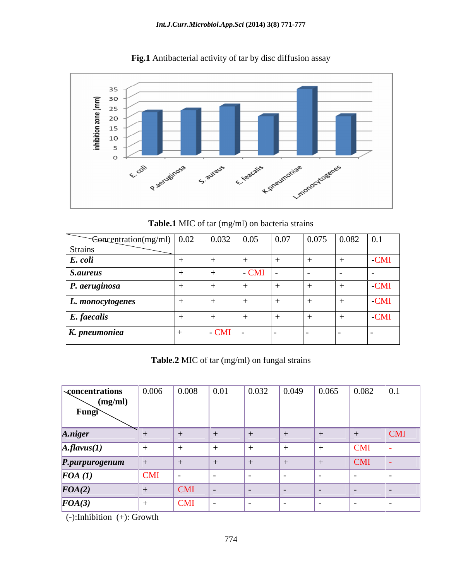

**Fig.1** Antibacterial activity of tar by disc diffusion assay

**Table.1** MIC of tar (mg/ml) on bacteria strains

| $\leftarrow$ Concentration(mg/ml)   0.02 | 0.032  | 0.05  | 0.07           | 0.075         | 0.082 | $\vert 0.1 \vert$ |
|------------------------------------------|--------|-------|----------------|---------------|-------|-------------------|
| Strains                                  |        |       |                |               |       |                   |
| E. coli                                  |        |       |                |               |       | -CMI              |
| <i>S.aureus</i>                          |        | - CMI | $\blacksquare$ | $\sim$ $\sim$ |       | $\sim$            |
| P. aeruginosa                            |        |       |                |               |       | -CMI              |
| L. monocytogenes                         |        |       |                |               |       | -CMI              |
| E. faecalis                              |        |       |                |               |       | -CMI              |
| K. pneumoniea                            | $-CMI$ |       |                |               |       |                   |

**Table.2** MIC of tar (mg/ml) on fungal strains

| <b>concentrations</b><br>$\sim$ (mg/ml)<br>$Fung \sim$ | 0.006      | $\vert 0.008 \vert$   | $\vert 0.01 \vert$ | 0.032 | 0.049 | 0.065 | 0.082      | $\vert 0.1 \vert$ |
|--------------------------------------------------------|------------|-----------------------|--------------------|-------|-------|-------|------------|-------------------|
| A.niger                                                |            | $\pm$                 |                    |       |       |       |            | $ $ CMI           |
| $A$ .flavus(1)                                         |            |                       |                    |       |       |       | <b>CMI</b> |                   |
| P.purpurogenum                                         |            |                       |                    |       |       |       | <b>CMI</b> |                   |
| $\bm{FOA}$ (1)                                         | <b>CMI</b> | .                     |                    |       |       |       |            |                   |
| $\overline{FOA(2)}$                                    |            | $ $ CMI               |                    |       |       |       |            |                   |
| $\boldsymbol{FOA}(3)$                                  |            | $\mathbf{\Gamma}$ CMI | .                  |       |       |       |            |                   |

(-):Inhibition (+): Growth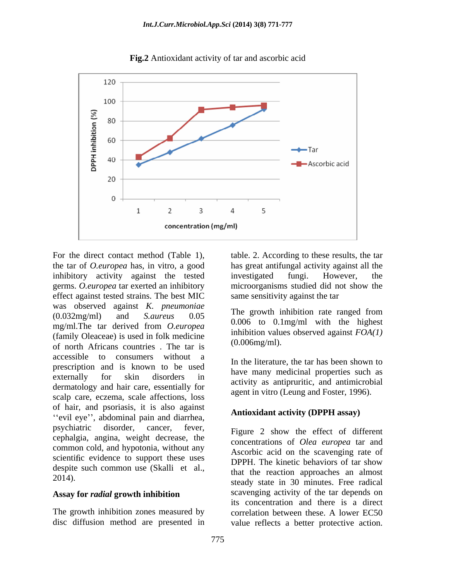

**Fig.2** Antioxidant activity of tar and ascorbic acid

For the direct contact method (Table 1), table. 2. According to these results, the tar the tar of *O.europea* has, in vitro, a good inhibitory activity against the tested investigated fungi. However, the germs. *O.europea* tar exerted an inhibitory microorganisms studied did not show the effect against tested strains. The best MIC was observed against *K. pneumoniae*<br>(0.022 us (u) and  $\int_0^{\infty}$  0.05 The growth inhibition rate ranged from (0.032mg/ml) and *S.aureus* 0.05 mg/ml.The tar derived from *O.europea* (family Oleaceae) is used in folk medicine of north Africans countries . The tar is accessible to consumers without a prescription and is known to be used externally for skin disorders in and the many medicinal properties such as<br>dermoteleous and heir ears essentially for activity as antipruritic, and antimicrobial dermatology and hair care, essentially for scalp care, eczema, scale affections, loss of hair, and psoriasis, it is also against "evil eye", abdominal pain and diarrhea, psychiatric disorder, cancer, fever, Figure 2 show the effect of different cephalgia, angina, weight decrease, the common cold, and hypotonia, without any scientific evidence to support these uses<br>DPPH. The kinetic behaviors of tar show despite such common use (Skalli et al.,

### **Assay for** *radial* **growth inhibition**

The growth inhibition zones measured by

has great antifungal activity against all the investigated fungi. However, the same sensitivity against the tar

The growth inhibition rate ranged from 0.006 to 0.1mg/ml with the highest inhibition values observed against *FOA(1)*  (0.006mg/ml).

In the literature, the tar has been shown to have many medicinal properties such as agent in vitro (Leung and Foster, 1996).

### **Antioxidant activity (DPPH assay)**

2014). steady state in 30 minutes. Free radical disc diffusion method are presented in value reflects a better protective action.concentrations of *Olea europea* tar and Ascorbic acid on the scavenging rate of DPPH. The kinetic behaviors of tar show that the reaction approaches an almost scavenging activity of the tar depends on its concentration and there is a direct correlation between these. A lower EC50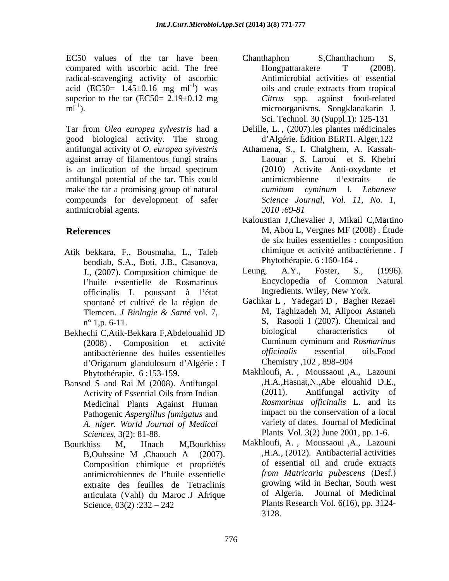radical-scavenging activity of ascorbic acid (EC50=  $1.45\pm0.16$  mg ml<sup>-1</sup>) was superior to the tar (EC50=  $2.19\pm0.12$  mg

good biological activity. The strong antifungal activity of *O. europea sylvestris*  antifungal potential of the tar. This could make the tar a promising group of natural cuminum cyminum 1. Lebanese compounds for development of safer antimicrobial agents. 2010:69-81

- Atik bekkara, F., Bousmaha, L., Taleb bendiab, S.A., Boti, J.B., Casanova, Phytothérapie. 6:160-164.<br>I (2007) Composition chimique de Leung, A.Y., Foster, S., (1996). l'huile essentielle de Rosmarinus officinalis L poussant à l état spontané et cultivé de la région de
- d'Origanum glandulosum d'Algérie : J Chemistry , 102, 898–904
- Medicinal Plants Against Human Pathogenic *Aspergillus fumigatus* and *A. niger. World Journal of Medical Sciences,* 3(2): 81-88. Plants Vol. 3(2) June 2001, pp. 1-6.
- Bourkhiss M, Hnach M,Bourkhiss Makhloufi, A. , Moussaoui ,A., Lazouni Composition chimique et propriétés antimicrobiennes de l huile essentielle extraite des feuilles de Tetraclinis articulata (Vahl) du Maroc .J Afrique
- EC50 values of the tar have been Chanthaphon S, Chanthachum S, compared with ascorbic acid. The free Hongpattarakere T (2008). oils and crude extracts from tropical ml<sup>-1</sup>). microorganisms. Songklanakarin J. Chanthaphon S,Chanthachum S, Hongpattarakere T (2008). Antimicrobial activities of essential oils and crude extracts from tropical *Citrus* spp. against food-related Sci. Technol. 30 (Suppl.1): 125-131
- Tar from *Olea europea sylvestris* had a Delille, L. , (2007).les plantes médicinales d Algérie. Édition BERTI. Alger,122
- against array of filamentous fungi strains Laouar , S. Laroui et S. Khebri is an indication of the broad spectrum Athamena, S., I. Chalghem, A. Kassah- (2010) Activite Anti-oxydante et antimicrobienne d'extraits de *cuminum cyminum* l*. Lebanese Science Journal, Vol. 11, No. 1, 2010 :69-81*
- **References** M, Abou L, Vergnes MF (2008) . Étude Kaloustian J,Chevalier J, Mikail C,Martino de six huiles essentielles : composition chimique et activité antibactérienne . J Phytothérapie. 6 :160-164 .
	- J., (2007). Composition chimique de Leung, A.Y., Foster, S., (1996).<br>Physic essentially de Rosmarinus Encyclopedia of Common Natural Leung, A.Y., Foster, S., (1996). Encyclopedia of Common Ingredients. Wiley, New York.
- Tlemcen. *J Biologie & Santé* vol. 7, n° 1,p. 6-11. S, Rasooli I (2007). Chemical and Bekhechi C,Atik-Bekkara F,Abdelouahid JD biological characteristics of (2008) . Composition et activité Cuminum cyminum and *Rosmarinus*  antibactérienne des huiles essentielles officinalis essential oils.Food<br>d'Origanum glandulosum d'Algérie I Chemistry 102, 898–904 Gachkar L , Yadegari D , Bagher Rezaei M, Taghizadeh M, Alipoor Astaneh biological characteristics of *officinalis* essential oils.Food Chemistry , 102 , 898–904
- Phytothérapie. 6 :153-159. Makhloufi, A. , Moussaoui ,A., Lazouni Bansod S and Rai M (2008). Antifungal Bansod S and Rai M (2008). Antifungal B.A., Hasnat, N., Abe elouahid D.E., Activity of Essential Oils from Indian (2011). Antifungal activity of ,H.A.,Hasnat,N.,Abe elouahid D.E., (2011). Antifungal activity of *Rosmarinus of icinalis* L. and its impact on the conservation of a local variety of dates. Journal of Medicinal
	- B,Ouhssine M ,Chaouch A (2007). H.A., (2012). Antibacterial activities Science, 03(2) :232 – 242 Plants Research Vol. 6(16), pp. 3124-,H.A., (2012). Antibacterial activities of essential oil and crude extracts *from Matricaria pubescens* (Desf.) growing wild in Bechar, South west of Algeria. Journal of Medicinal 3128.